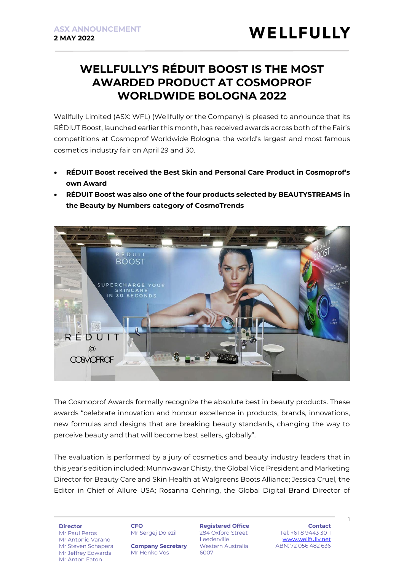## **WELLFULLY'S RÉDUIT BOOST IS THE MOST AWARDED PRODUCT AT COSMOPROF WORLDWIDE BOLOGNA 2022**

Wellfully Limited (ASX: WFL) (Wellfully or the Company) is pleased to announce that its RÉDIUT Boost, launched earlier this month, has received awards across both of the Fair's competitions at Cosmoprof Worldwide Bologna, the world's largest and most famous cosmetics industry fair on April 29 and 30.

- **RÉDUIT Boost received the Best Skin and Personal Care Product in Cosmoprof's own Award**
- **RÉDUIT Boost was also one of the four products selected by BEAUTYSTREAMS in the Beauty by Numbers category of CosmoTrends**



The Cosmoprof Awards formally recognize the absolute best in beauty products. These awards "celebrate innovation and honour excellence in products, brands, innovations, new formulas and designs that are breaking beauty standards, changing the way to perceive beauty and that will become best sellers, globally".

The evaluation is performed by a jury of cosmetics and beauty industry leaders that in this year's edition included: Munnwawar Chisty, the Global Vice President and Marketing Director for Beauty Care and Skin Health at Walgreens Boots Alliance; Jessica Cruel, the Editor in Chief of Allure USA; Rosanna Gehring, the Global Digital Brand Director of

**Director**

Mr Paul Peros Mr Antonio Varano Mr Steven Schapera Mr Jeffrey Edwards Mr Anton Eaton

**CFO**

Mr Sergej Dolezil

**Company Secretary** Mr Henko Vos

**Registered Office** 284 Oxford Street Leederville Western Australia 6007

**Contact** Tel: +61 8 9443 3011 [www.wellfully.net](http://www.wellfully.net/) ABN: 72 056 482 636

1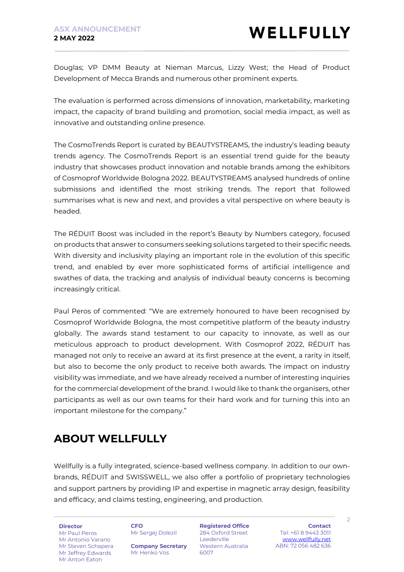Douglas; VP DMM Beauty at Nieman Marcus, Lizzy West; the Head of Product Development of Mecca Brands and numerous other prominent experts.

The evaluation is performed across dimensions of innovation, marketability, marketing impact, the capacity of brand building and promotion, social media impact, as well as innovative and outstanding online presence.

The CosmoTrends Report is curated by BEAUTYSTREAMS, the industry's leading beauty trends agency. The CosmoTrends Report is an essential trend guide for the beauty industry that showcases product innovation and notable brands among the exhibitors of Cosmoprof Worldwide Bologna 2022. BEAUTYSTREAMS analysed hundreds of online submissions and identified the most striking trends. The report that followed summarises what is new and next, and provides a vital perspective on where beauty is headed.

The RÉDUIT Boost was included in the report's Beauty by Numbers category, focused on products that answer to consumers seeking solutions targeted to their specific needs. With diversity and inclusivity playing an important role in the evolution of this specific trend, and enabled by ever more sophisticated forms of artificial intelligence and swathes of data, the tracking and analysis of individual beauty concerns is becoming increasingly critical.

Paul Peros of commented: "We are extremely honoured to have been recognised by Cosmoprof Worldwide Bologna, the most competitive platform of the beauty industry globally. The awards stand testament to our capacity to innovate, as well as our meticulous approach to product development. With Cosmoprof 2022, RÉDUIT has managed not only to receive an award at its first presence at the event, a rarity in itself, but also to become the only product to receive both awards. The impact on industry visibility was immediate, and we have already received a number of interesting inquiries for the commercial development of the brand. I would like to thank the organisers, other participants as well as our own teams for their hard work and for turning this into an important milestone for the company."

# **ABOUT WELLFULLY**

Wellfully is a fully integrated, science-based wellness company. In addition to our ownbrands, RÉDUIT and SWISSWELL, we also offer a portfolio of proprietary technologies and support partners by providing IP and expertise in magnetic array design, feasibility and efficacy, and claims testing, engineering, and production.

**Director**

Mr Paul Peros Mr Antonio Varano Mr Steven Schapera Mr Jeffrey Edwards Mr Anton Eaton

**CFO** Mr Sergej Dolezil

**Company Secretary** Mr Henko Vos

**Registered Office** 284 Oxford Street Leederville Western Australia 6007

**Contact** Tel: +61 8 9443 3011 [www.wellfully.net](http://www.wellfully.net/) ABN: 72 056 482 636

 $\overline{\phantom{0}}$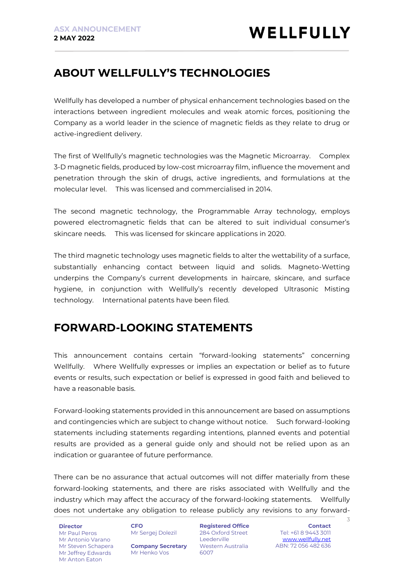### **ABOUT WELLFULLY'S TECHNOLOGIES**

Wellfully has developed a number of physical enhancement technologies based on the interactions between ingredient molecules and weak atomic forces, positioning the Company as a world leader in the science of magnetic fields as they relate to drug or active-ingredient delivery.

The first of Wellfully's magnetic technologies was the Magnetic Microarray. Complex 3-D magnetic fields, produced by low-cost microarray film, influence the movement and penetration through the skin of drugs, active ingredients, and formulations at the molecular level. This was licensed and commercialised in 2014.

The second magnetic technology, the Programmable Array technology, employs powered electromagnetic fields that can be altered to suit individual consumer's skincare needs. This was licensed for skincare applications in 2020.

The third magnetic technology uses magnetic fields to alter the wettability of a surface, substantially enhancing contact between liquid and solids. Magneto-Wetting underpins the Company's current developments in haircare, skincare, and surface hygiene, in conjunction with Wellfully's recently developed Ultrasonic Misting technology. International patents have been filed.

#### **FORWARD-LOOKING STATEMENTS**

This announcement contains certain "forward-looking statements" concerning Wellfully. Where Wellfully expresses or implies an expectation or belief as to future events or results, such expectation or belief is expressed in good faith and believed to have a reasonable basis.

Forward-looking statements provided in this announcement are based on assumptions and contingencies which are subject to change without notice. Such forward-looking statements including statements regarding intentions, planned events and potential results are provided as a general guide only and should not be relied upon as an indication or guarantee of future performance.

There can be no assurance that actual outcomes will not differ materially from these forward-looking statements, and there are risks associated with Wellfully and the industry which may affect the accuracy of the forward-looking statements. Wellfully does not undertake any obligation to release publicly any revisions to any forward-

**Director** Mr Paul Peros Mr Antonio Varano Mr Steven Schapera Mr Jeffrey Edwards Mr Anton Eaton

**CFO** Mr Sergej Dolezil

**Company Secretary** Mr Henko Vos

**Registered Office** 284 Oxford Street Leederville Western Australia 6007

**Contact** Tel: +61 8 9443 3011 [www.wellfully.net](http://www.wellfully.net/) ABN: 72 056 482 636

3